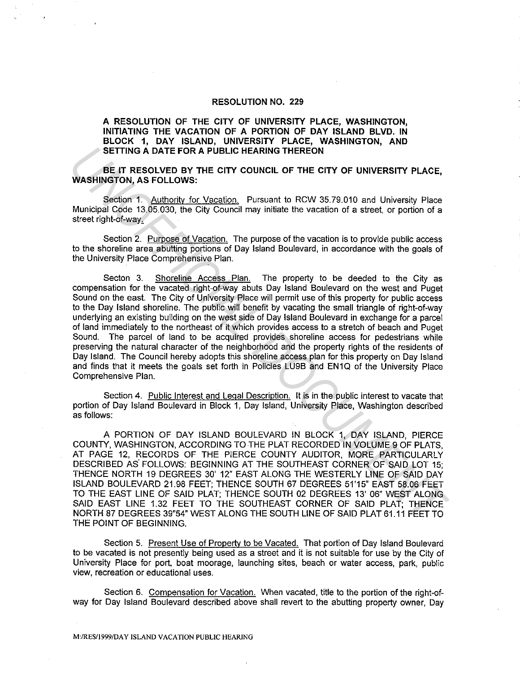## **RESOLUTION NO. 229**

## **A RESOLUTION OF THE CITY OF UNIVERSITY PLACE, WASHINGTON, INITIATING THE VACATION OF A PORTION OF DAY ISLAND BLVD. IN BLOCK 1, DAY ISLAND, UNIVERSITY PLACE, WASHINGTON, AND SETTING A DATE FOR A PUBLIC HEARING THEREON**

**BE IT RESOLVED BY THE CITY COUNCIL OF THE CITY OF UNIVERSITY PLACE, WASHINGTON, AS FOLLOWS:** 

Section 1. Authority for Vacation. Pursuant to RCW 35. 79.010 and University Place Municipal Code 13.05.030, the City Council may initiate the vacation of a street, or portion of a street right-of-way,

Section 2. Purpose of Vacation. The purpose of the vacation is to provide public access to the shoreline area abutting portions of Day Island Boulevard, in accordance with the goals of the University Place Comprehensive Plan.

Secton 3. Shoreline Access Plan. The property to be deeded to the City as compensation for the vacated right-of-way abuts Day Island Boulevard on the west and Puget Sound on the east. The City of University Place will permit use of this property for public access to the Day Island shoreline. The public will benefit by vacating the small triangle of right-of-way underlying an existing building on the west side of Day Island Boulevard in exchange for a parcel of land immediately to the northeast of it which provides access to a stretch of beach and Puget Sound. The parcel of land to be acquired provides shoreline access for pedestrians while preserving the natural character of the neighborhood and the property rights of the residents of Day Island. The Council hereby adopts this shoreline access plan for this property on Day Island and finds that it meets the goals set forth in Policies LU9B and EN1Q of the University Place Comprehensive Plan. SETTING A DATE FOR A PUBLIC HEARING THEREON<br>
WASHINGTON, AS FOLLOWS:<br>
WASHINGTON, AS FOLLOWS:<br>
WASHINGTON, AS FOLLOWS:<br>
Section 1. <u>Authority for Vacetion</u>. Pursuant to RCW 35.79.010 and University Place<br>
WASHINGTON, AS FO

Section 4. Public Interest and Legal Description. It is in the public interest to vacate that portion of Day Island Boulevard in Block 1, Day Island, University Place, Washington described as follows:

A PORTION OF DAY ISLAND BOULEVARD IN BLOCK 1, DAY ISLAND, PIERCE COUNTY, WASHINGTON, ACCORDING TO THE PLAT RECORDED IN VOLUME 9 OF PLATS, AT PAGE 12, RECORDS OF THE PIERCE COUNTY AUDITOR, MORE PARTICULARLY DESCRIBED AS FOLLOWS: BEGINNING AT THE SOUTHEAST CORNER OF SAID LOT 15; THENCE NORTH 19 DEGREES 30' 12" EAST ALONG THE WESTERLY LINE OF SAID DAY ISLAND BOULEVARD 21.98 FEET; THENCE SOUTH 67 DEGREES 51'15" EAST 58.06 FEET TO THE EAST LINE OF SAID PLAT; THENCE SOUTH 02 DEGREES 13' 06" WEST ALONG SAID EAST LINE 1.32 FEET TO THE SOUTHEAST CORNER OF SAID PLAT; THENCE NORTH 87 DEGREES 39"54" WEST ALONG THE SOUTH LINE OF SAID PLAT 61.11 FEET TO THE POINT OF BEGINNING.

Section 5. Present Use of Propertv to be Vacated. That portion of Day Island Boulevard to be vacated is not presently being used as a street and it is not suitable for use by the City of University Place for port, boat moorage, launching sites, beach or water access, park, public view, recreation or educational uses.

Section 6. Compensation for Vacation. When vacated, title to the portion of the right-ofway for Day Island Boulevard described above shall revert to the abutting property owner. Day